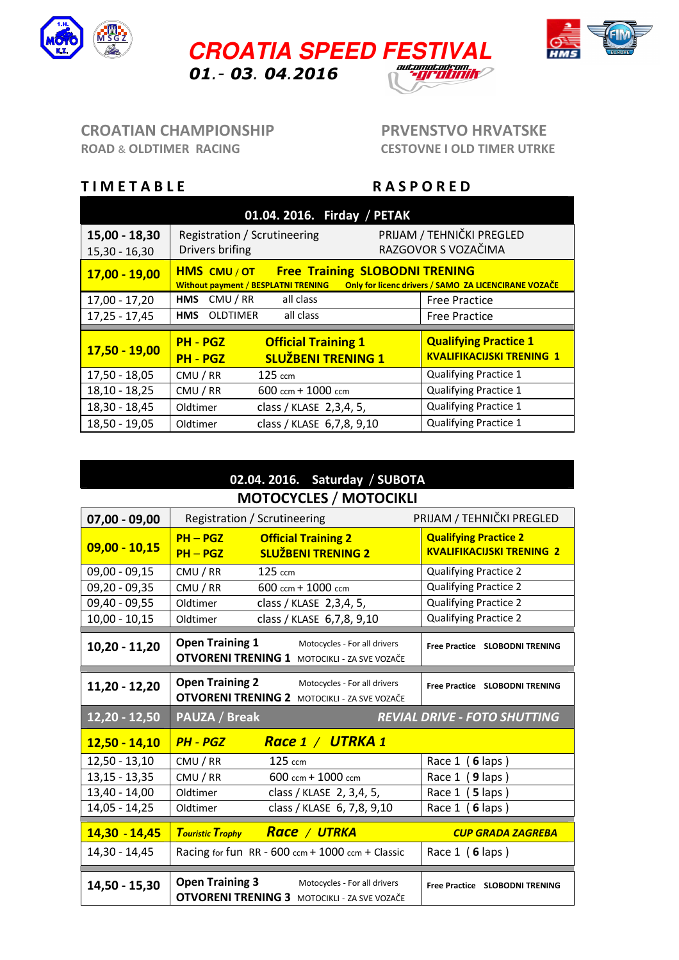





### CROATIAN CHAMPIONSHIP PRVENSTVO HRVATSKE ROAD & OLDTIMER RACING CESTOVNE I OLD TIMER UTRKE

## TIMETABLE RASPORED

| 01.04. 2016. Firday / PETAK        |                                                                                                                                                                  |                            |                                                  |  |
|------------------------------------|------------------------------------------------------------------------------------------------------------------------------------------------------------------|----------------------------|--------------------------------------------------|--|
| $15,00 - 18,30$<br>$15,30 - 16,30$ | Registration / Scrutineering<br>Drivers brifing                                                                                                                  |                            | PRIJAM / TEHNIČKI PREGLED<br>RAZGOVOR S VOZAČIMA |  |
| $17,00 - 19,00$                    | <b>Free Training SLOBODNI TRENING</b><br><b>HMS CMU/OT</b><br>Only for licenc drivers / SAMO ZA LICENCIRANE VOZAČE<br><b>Without payment / BESPLATNI TRENING</b> |                            |                                                  |  |
| $17,00 - 17,20$                    | CMU / RR<br><b>HMS</b>                                                                                                                                           | all class                  | <b>Free Practice</b>                             |  |
| $17,25 - 17,45$                    | <b>OLDTIMER</b><br><b>HMS</b>                                                                                                                                    | all class                  | <b>Free Practice</b>                             |  |
|                                    | <b>PH - PGZ</b>                                                                                                                                                  | <b>Official Training 1</b> | <b>Qualifying Practice 1</b>                     |  |
| 17,50 - 19,00                      | <b>PH - PGZ</b>                                                                                                                                                  | <b>SLUŽBENI TRENING 1</b>  | <b>KVALIFIKACIJSKI TRENING 1</b>                 |  |
| $17,50 - 18,05$                    | CMU / RR                                                                                                                                                         | $125 \text{ cm}$           | <b>Qualifying Practice 1</b>                     |  |
| $18,10 - 18,25$                    | CMU/RR                                                                                                                                                           | $600$ ccm + $1000$ ccm     | <b>Qualifying Practice 1</b>                     |  |
| $18,30 - 18,45$                    | Oldtimer                                                                                                                                                         | class / KLASE 2,3,4, 5,    | <b>Qualifying Practice 1</b>                     |  |
| 18,50 - 19,05                      | Oldtimer                                                                                                                                                         | class / KLASE 6,7,8, 9,10  | <b>Qualifying Practice 1</b>                     |  |

### 02.04. 2016. Saturday / SUBOTA MOTOCYCLES / MOTOCIKLI

| $07,00 - 09,00$ |                          | Registration / Scrutineering                                                        | PRIJAM / TEHNIČKI PREGLED                                        |
|-----------------|--------------------------|-------------------------------------------------------------------------------------|------------------------------------------------------------------|
| $09,00 - 10,15$ | $PH - PGZ$<br>$PH - PGZ$ | <b>Official Training 2</b><br><b>SLUŽBENI TRENING 2</b>                             | <b>Qualifying Practice 2</b><br><b>KVALIFIKACIJSKI TRENING 2</b> |
| $09,00 - 09,15$ | CMU / RR                 | 125 ccm                                                                             | <b>Qualifying Practice 2</b>                                     |
| $09,20 - 09,35$ | CMU / RR                 | 600 ccm + 1000 ccm                                                                  | <b>Qualifying Practice 2</b>                                     |
| 09,40 - 09,55   | Oldtimer                 | class / KLASE 2,3,4, 5,                                                             | <b>Qualifying Practice 2</b>                                     |
| $10,00 - 10,15$ | Oldtimer                 | class / KLASE 6,7,8, 9,10                                                           | <b>Qualifying Practice 2</b>                                     |
| $10,20 - 11,20$ | <b>Open Training 1</b>   | Motocycles - For all drivers<br><b>OTVORENI TRENING 1 MOTOCIKLI - ZA SVE VOZAČE</b> | Free Practice SLOBODNI TRENING                                   |
| 11,20 - 12,20   | <b>Open Training 2</b>   | Motocycles - For all drivers<br><b>OTVORENI TRENING 2 MOTOCIKLI - ZA SVE VOZAČE</b> | Free Practice SLOBODNI TRENING                                   |
|                 |                          |                                                                                     |                                                                  |
| $12,20 - 12,50$ | PAUZA / Break            |                                                                                     | <b>REVIAL DRIVE - FOTO SHUTTING</b>                              |
| $12,50 - 14,10$ | <b>PH - PGZ</b>          | Race 1 / UTRKA 1                                                                    |                                                                  |
| $12,50 - 13,10$ | CMU / RR                 | 125 ccm                                                                             | Race 1 (6 laps)                                                  |
| $13,15 - 13,35$ | CMU / RR                 | 600 ccm + 1000 ccm                                                                  | Race 1 (9 laps)                                                  |
| $13,40 - 14,00$ | Oldtimer                 | class / KLASE 2, 3,4, 5,                                                            | Race 1 (5 laps)                                                  |
| $14,05 - 14,25$ | Oldtimer                 | class / KLASE 6, 7,8, 9,10                                                          | Race 1 (6 laps)                                                  |
| 14,30 - 14,45   |                          | <b>Touristic Trophy</b> Race / UTRKA                                                | <b>CUP GRADA ZAGREBA</b>                                         |
| 14,30 - 14,45   |                          | Racing for fun RR - 600 ccm + 1000 ccm + Classic                                    | Race 1 (6 laps)                                                  |